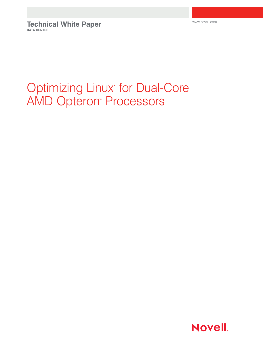**Technical White Paper DATA CENTER**

www.novell.com

# Optimizing Linux<sup>\*</sup> for Dual-Core **AMD Opteron<sup>™</sup> Processors**

Novell.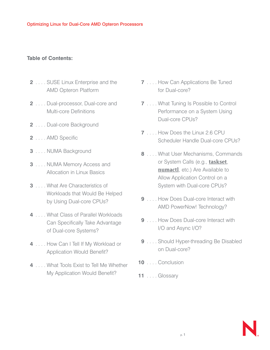# **Table of Contents:**

- **2** . . . . SUSE Linux Enterprise and the AMD Opteron Platform
- **2** . . . . Dual-processor, Dual-core and Multi-core Definitions
- **2** . . . . Dual-core Background
- **2** . . . . AMD Specific
- **3** . . . . NUMA Background
- **3** . . . . NUMA Memory Access and Allocation in Linux Basics
- **3** . . . . What Are Characteristics of Workloads that Would Be Helped by Using Dual-core CPUs?
- **4** . . . . What Class of Parallel Workloads Can Specifically Take Advantage of Dual-core Systems?
- **4** . . . . How Can I Tell If My Workload or Application Would Benefit?
- **4** . . . . What Tools Exist to Tell Me Whether My Application Would Benefit?
- **7** . . . . How Can Applications Be Tuned for Dual-core?
- **7** . . . . What Tuning Is Possible to Control Performance on a System Using Dual-core CPUs?
- **7** . . . . How Does the Linux 2.6 CPU Scheduler Handle Dual-core CPUs?
- **8** . . . . What User Mechanisms, Commands or System Calls (e.g., **taskset**, **numactl**, etc.) Are Available to Allow Application Control on a System with Dual-core CPUs?
- **9** . . . . How Does Dual-core Interact with AMD PowerNow! Technology?
- **9** . . . . How Does Dual-core Interact with I/O and Async I/O?
- **9** . . . . Should Hyper-threading Be Disabled on Dual-core?
- **10** . . . . Conclusion
- **11** . . . . Glossary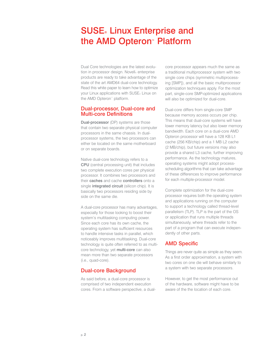# SUSE® Linux Enterprise and the AMD Opteron™ Platform

Dual Core technologies are the latest evolution in processor design. Novell® enterprise products are ready to take advantage of the state of the art AMD64 dual-core technology. Read this white paper to learn how to optimize your Linux applications with SUSE® Linux on the AMD Opteron™ platform.

# Dual-processor, Dual-core and Multi-core Definitions

**Dual-processor** (DP) systems are those that contain two separate physical computer processors in the same chassis. In dualprocessor systems, the two processors can either be located on the same motherboard or on separate boards.

Native dual-core technology refers to a CPU (central processing unit) that includes two complete execution cores per physical processor. It combines two processors and their caches and cache controllers onto a single integrated circuit (silicon chip). It is basically two processors residing side by side on the same die.

A dual-core processor has many advantages, especially for those looking to boost their system's multitasking computing power. Since each core has its own cache, the operating system has sufficient resources to handle intensive tasks in parallel, which noticeably improves multitasking. Dual-core technology is quite often referred to as multicore technology, yet multi-core can also mean more than two separate processors (i.e., quad-core).

# Dual-core Background

As said before, a dual-core processor is comprised of two independent execution cores. From a software perspective, a dualcore processor appears much the same as a traditional multiprocessor system with two single core chips (symmetric multiprocessing [SMP]), and all the basic multiprocessor optimization techniques apply. For the most part, single-core SMP-optimized applications will also be optimized for dual-core.

Dual-core differs from single-core SMP because memory access occurs per chip. This means that dual-core systems will have lower memory latency but also lower memory bandwidth. Each core on a dual-core AMD Opteron processor will have a 128 KB L1 cache (256 KB/chip) and a 1 MB L2 cache (2 MB/chip), but future versions may also provide a shared L3 cache, further improving performance. As the technology matures, operating systems might adopt processscheduling algorithms that can take advantage of these differences to improve performance for each multiple-processor model.

Complete optimization for the dual-core processor requires both the operating system and applications running on the computer to support a technology called thread-level parallelism (TLP). TLP is the part of the OS or application that runs multiple threads simultaneously, where threads refer to the part of a program that can execute independently of other parts.

# AMD Specific

Things are never quite as simple as they seem. As a first order approximation, a system with two cores on one die will behave similarly to a system with two separate processors.

However, to get the most performance out of the hardware, software might have to be aware of the the location of each core.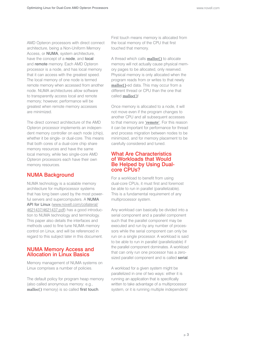AMD Opteron processors with direct connect architecture, being a Non-Uniform Memory Access, or NUMA, system architecture, have the concept of a node, and local and remote memory. Each AMD Opteron processor is a node, and has local memory that it can access with the greatest speed. The local memory of one node is termed remote memory when accessed from another node. NUMA architectures allow software to transparently access local and remote memory; however, performance will be greatest when remote memory accesses are minimized.

The direct connect architecture of the AMD Opteron processor implements an independent memory controller on each node (chip), whether it be single- or dual-core. This means that both cores of a dual-core chip share memory resources and have the same local memory, while two single-core AMD Opteron processors each have their own memory resources.

# NUMA Background

NUMA technology is a scalable memory architecture for multiprocessor systems that has long been used by the most powerful servers and supercomputers. A NUMA API for Linux (www.novell.com/collateral/ 4621437/4621437.pdf) has a good introduction to NUMA technology and terminology. This paper also details the interfaces and methods used to fine tune NUMA memory control on Linux, and will be referenced in regard to this subject later in this document.

# NUMA Memory Access and Allocation in Linux Basics

Memory management of NUMA systems on Linux comprises a number of policies.

The default policy for program heap memory (also called anonymous memory: e.g., **malloc()** memory) is so called first touch.

First touch means memory is allocated from the local memory of the CPU that first touched that memory.

A thread which calls **malloc()** to allocate memory will not actually cause physical memory pages to be allocated, only reserved. Physical memory is only allocated when the program reads from or writes to that newly **malloc()**-ed data. This may occur from a different thread or CPU than the one that called **malloc()**!

Once memory is allocated to a node, it will not move even if the program changes to another CPU and all subsequent accesses to that memory are **'remote'**. For this reason it can be important for performance for thread and process migration between nodes to be minimized, and for memory placement to be carefully considered and tuned.

# What Are Characteristics of Workloads that Would Be Helped by Using Dualcore CPUs?

For a workload to benefit from using dual-core CPUs, it must first and foremost be able to run in parallel (parallelizable). This is a fundamental requirement of any multiprocessor system.

Any workload can basically be divided into a serial component and a parallel component such that the parallel component may be executed and run by any number of processors while the serial component can only be run on a single processor. A workload is said to be able to run in parallel (parallelizable) if the parallel component dominates. A workload that can only run one processor has a zerosized parallel component and is called serial.

A workload for a given system might be parallelized in one of two ways: either it is running an application that is specifically written to take advantage of a multiprocessor system, or it is running multiple independent/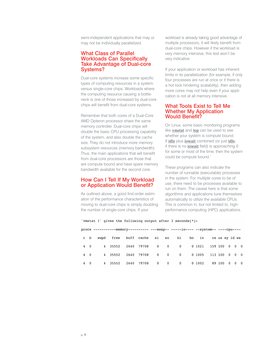semi-independent applications that may or may not be individually parallelized.

# What Class of Parallel Workloads Can Specifically Take Advantage of Dual-core Systems?

Dual-core systems increase some specific types of computing resources in a system versus single-core chips. Workloads where the computing resource causing a bottleneck is one of those increased by dual-core chips will benefit from dual-core systems.

Remember that both cores of a Dual-Core AMD Opteron processor share the same memory controller. Dual-core chips will double the basic CPU processing capability of the system, and also double the cache size. They do not introduce more memory subsystem resources (memory bandwidth). Thus, the main applications that will benefit from dual-core processors are those that are compute bound and have spare memory bandwidth available for the second core.

# How Can I Tell If My Workload or Application Would Benefit?

As outlined above, a good first-order estimation of the performance characteristics of moving to dual-core chips is simply doubling the number of single-core chips. If your

workload is already taking good advantage of multiple processors, it will likely benefit from dual-core chips. However if the workload is very memory intensive, this test won't be very indicative.

If your application or workload has inherent limits in its parallelization (for example, if only four processes are run at once or if there is a hot lock hindering scalability), then adding more cores may not help even if your application is not at all memory intensive.

# What Tools Exist to Tell Me Whether My Application Would Benefit?

On Linux, some basic monitoring programs like **vmstat** and **top** can be used to see whether your system is compute bound. If **idle** plus **iowait** combined (or just **idle**, if there is no **iowait** field) is approaching 0 for some or most of the time, then the system could be compute bound.'

These programs can also indicate the number of runnable (executable) processes in the system. For multiple cores to be of use, there need to be processes available to run on them. The caveat here is that some algorithms and applications tune themselves automatically to utilize the available CPUs. This is common in, but not limited to, highperformance computing (HPC) applications.

`vmstat 1` gives the following output after 3 seconds[\*]:

|            | r b        | swpd |         | free buff cache si so bi |                         |  |  | bo in cs us sy id wa |              |  |
|------------|------------|------|---------|--------------------------|-------------------------|--|--|----------------------|--------------|--|
|            | $4\quad 0$ |      | 4 35552 |                          |                         |  |  |                      |              |  |
| $4\quad 0$ |            |      | 4 35552 |                          |                         |  |  |                      |              |  |
|            | $4\quad 0$ |      | 4 35552 |                          | 2640 79708 0 0 0 0 1002 |  |  |                      | 89 100 0 0 0 |  |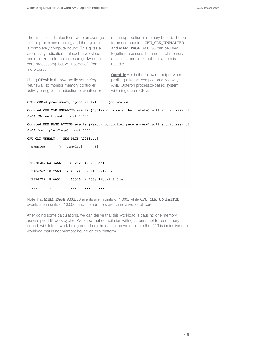The first field indicates there were an average of four processes running, and the system is completely compute bound. This gives a preliminary indication that such a workload could utilize up to four cores (e.g., two dualcore processors), but will not benefit from more cores.

Using **OProfile** (http://oprofile.sourceforge. net/news/) to monitor memory controller activity can give an indication of whether or not an application is memory bound. The performance counters **CPU\_CLK\_UNHALTED** and **MEM\_PAGE\_ACCESS** can be used together to assess the amount of memory accesses per clock that the system is not idle.

**Oprofile** yields the following output when profiling a kernel compile on a two-way AMD Opteron processor-based system with single-core CPUs:

#### CPU: AMD64 processors, speed 2194.13 MHz (estimated)

Counted CPU\_CLK\_UNHALTED events (Cycles outside of halt state) with a unit mask of 0x00 (No unit mask) count 10000

Counted MEM\_PAGE\_ACCESS events (Memory controller page access) with a unit mask of 0x07 (multiple flags) count 1000

```
CPU_CLK_UNHALT... | MEM_PAGE_ACCES... |
```

| samples        |                  | % samples | $\frac{8}{3}$           |                            |
|----------------|------------------|-----------|-------------------------|----------------------------|
|                |                  |           |                         |                            |
|                | 20538586 64.3466 |           | 387282 14.5290 cc1      |                            |
|                | 5986767 18.7563  |           | 2141124 80.3248 vmlinux |                            |
| 2574275 8.0651 |                  |           |                         | 65516 2.4578 libc-2.3.5.so |
|                |                  |           |                         |                            |
|                |                  |           |                         |                            |

Note that **MEM\_PAGE\_ACCESS** events are in units of 1,000, while **CPU\_CLK\_UNHALTED** events are in units of 10,000, and the numbers are cumulative for all cores.

After doing some calculations, we can derive that this workload is causing one memory access per 119 work cycles. We know that compilation with gcc tends not to be memory bound, with lots of work being done from the cache, so we estimate that 119 is indicative of a workload that is not memory bound on this platform.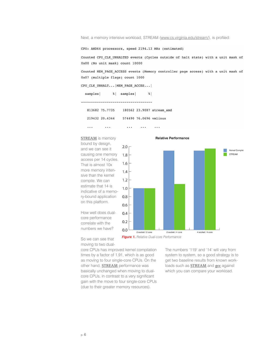Next, a memory intensive workload, STREAM (www.cs.virginia.edu/stream/), is profiled:

CPU: AMD64 processors, speed 2194.13 MHz (estimated)

Counted CPU\_CLK\_UNHALTED events (Cycles outside of halt state) with a unit mask of 0x00 (No unit mask) count 10000

Counted MEM PAGE ACCESS events (Memory controller page access) with a unit mask of 0x07 (multiple flags) count 1000

CPU\_CLK\_UNHALT... |MEM\_PAGE\_ACCES... |

% | samples |  $samples$  $\frac{8}{6}$ 

--------------------------------------

813682 75.7735 180562 23.9087 stream\_amd

219432 20.4344 574490 76.0696 vmlinux

 $\ddots$ 

 $\ddots$ 

 $\ldots$ 

#### **STREAM** is memory

 $\ddots$ 

 $\ldots$ 

bound by design, and we can see it causing one memory access per 14 cycles. That is almost 10x more memory intensive than the kernel compile. We can estimate that 14 is indicative of a memory-bound application on this platform.





So we can see that moving to two dual-

How well does dualcore performance correlate with the numbers we have?

core CPUs has improved kernel compilation times by a factor of 1.91, which is as good as moving to four single-core CPUs. On the other hand, **STREAM** performance was basically unchanged when moving to dualcore CPUs, in contrast to a very significant gain with the move to four single-core CPUs

*Figure 1. Relative Dual-core Performance*

(due to their greater memory resources).

The numbers '119' and '14' will vary from system to system, so a good strategy is to get two baseline results from known workloads such as **STREAM** and **gcc** against which you can compare your workload.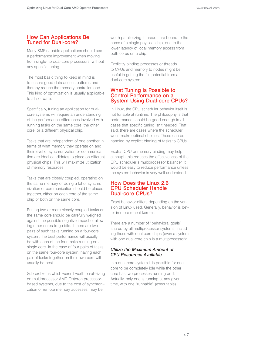# How Can Applications Be Tuned for Dual-core?

Many SMP-capable applications should see a performance improvement when moving from single- to dual-core processors, without any specific tuning.

The most basic thing to keep in mind is to ensure good data access patterns and thereby reduce the memory controller load. This kind of optimization is usually applicable to all software.

Specifically, tuning an application for dualcore systems will require an understanding of the performance differences involved with running tasks on the same core, the other core, or a different physical chip.

Tasks that are independent of one another in terms of what memory they operate on and their level of synchronization or communication are ideal candidates to place on different physical chips. This will maximize utilization of memory resources.

Tasks that are closely coupled, operating on the same memory or doing a lot of synchronization or communication should be placed together, either on each core of the same chip or both on the same core.

Putting two or more closely coupled tasks on the same core should be carefully weighed against the possible negative impact of allowing other cores to go idle. If there are two pairs of such tasks running on a four-core system, the best performance will usually be with each of the four tasks running on a single core. In the case of four pairs of tasks on the same four-core system, having each pair of tasks together on their own core will usually be best.

Sub-problems which weren't worth parallelizing on multiprocessor AMD Opteron processorbased systems, due to the cost of synchronization or remote memory accesses, may be

worth parallelizing if threads are bound to the cores of a single physical chip, due to the lower latency of local memory access from both cores on a chip.

Explicitly binding processes or threads to CPUs and memory to nodes might be useful in getting the full potential from a dual-core system.

# What Tuning Is Possible to Control Performance on a System Using Dual-core CPUs?

In Linux, the CPU scheduler behavior itself is not tunable at runtime. The philosophy is that performance should be good enough in all cases that specific tuning isn't needed. That said, there are cases where the scheduler won't make optimal choices. These can be handled by explicit binding of tasks to CPUs.

Explicit CPU or memory binding may help, although this reduces the effectiveness of the CPU scheduler's multiprocessor balancer. It would be easy to reduce performance unless the system behavior is very well understood.

# How Does the Linux 2.6 CPU Scheduler Handle Dual-core CPUs?

Exact behavior differs depending on the version of Linux used. Generally, behavior is better in more recent kernels.

There are a number of "behavioral goals" shared by all multiprocessor systems, including those with dual-core chips (even a system with one dual-core chip is a multiprocessor):

#### *Utilize the Maximum Amount of CPU Resources Available*

In a dual-core system it is possible for one core to be completely idle while the other core has two processes running on it. Actually, only one is running at any given time, with one "runnable" (executable).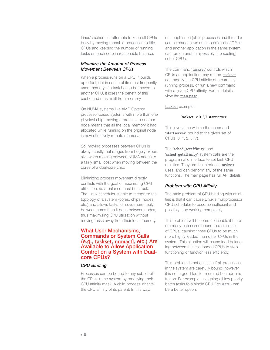Linux's scheduler attempts to keep all CPUs busy by moving runnable processes to idle CPUs and keeping the number of running tasks on each core in reasonable balance.

#### *Minimize the Amount of Process Movement Between CPUs*

When a process runs on a CPU, it builds up a footprint in cache of its most frequently used memory. If a task has to be moved to another CPU, it loses the benefit of this cache and must refill from memory.

On NUMA systems like AMD Opteron processor-based systems with more than one physical chip, moving a process to another node means that all the local memory it had allocated while running on the original node is now effectively remote memory.

So, moving processes between CPUs is always costly, but ranges from hugely expensive when moving between NUMA nodes to a fairly small cost when moving between the cores of a dual-core chip.

Minimizing process movement directly conflicts with the goal of maximizing CPU utilization, so a balance must be struck. The Linux scheduler is able to recognize the topology of a system (cores, chips, nodes, etc.) and allows tasks to move more freely between cores than it does between nodes, thus maximizing CPU utilization without moving tasks away from their local memory.

# What User Mechanisms, Commands or System Calls (e.g., **taskset**, **numactl**, etc.) Are Available to Allow Application Control on a System with Dualcore CPUs?

#### *CPU Binding*

Processes can be bound to any subset of the CPUs in the system by modifying their CPU affinity mask. A child process inherits the CPU affinity of its parent. In this way,

one application (all its processes and threads) can be made to run on a specific set of CPUs, and another application in the same system can run on another (possibly intersecting) set of CPUs.

The command **'taskset'** controls which CPUs an application may run on. **taskset** can modify the CPU affinity of a currently running process, or run a new command with a given CPU affinity. For full details, view the **man page**.

**taskset** example:

#### 'taskset -c 0-3,7 startserver'

This invocation will run the command **'startserver'** bound to the given set of CPUs (0, 1, 2, 3, 7).

# The **'sched\_setaffinity'** and

**'sched\_getaffinity'** system calls are the programmatic interface to set task CPU affinities. They are the interfaces **taskset** uses, and can perform any of the same functions. The man page has full API details.

# *Problem with CPU Affinity*

The main problem of CPU binding with affinities is that it can cause Linux's multiprocessor CPU scheduler to become inefficient and possibly stop working completely.

This problem will become noticeable if there are many processes bound to a small set of CPUs, causing those CPUs to be much more highly loaded than other CPUs in the system. This situation will cause load balancing between the less loaded CPUs to stop functioning or function less efficiently.

This problem is not an issue if all processes in the system are carefully bound; however, it is not a good tool for more ad hoc administration. For example, assigning all low priority batch tasks to a single CPU (**'cpusets'**) can be a better option.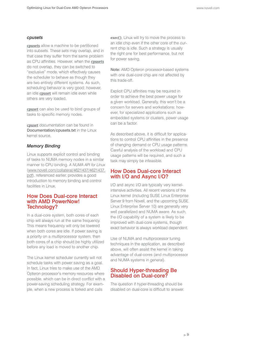#### *cpusets*

**cpusets** allow a machine to be partitioned into subsets. These sets may overlap, and in that case they suffer from the same problem as CPU affinities. However, when the **cpusets** do not overlap, they can be switched to "exclusive" mode, which effectively causes the scheduler to behave as though they are two entirely different systems. As such, scheduling behavior is very good; however, an idle **cpuset** will remain idle even while others are very loaded.

**cpuset** can also be used to bind groups of tasks to specific memory nodes.

**cpuset** documentation can be found in Documentation/cpusets.txt in the Linux kernel source.

#### *Memory Binding*

Linux supports explicit control and binding of tasks to NUMA memory nodes in a similar manner to CPU binding. *A NUMA API for Linux* (www.novell.com/collateral/4621437/4621437. pdf), referenced earlier, provides a good introduction to memory binding and control facilities in Linux.

#### How Does Dual-core Interact with AMD PowerNow! Technology?

In a dual-core system, both cores of each chip will always run at the same frequency. This means frequency will only be lowered when both cores are idle. If power saving is a priority on a multiprocessor system, then both cores of a chip should be highly utilized before any load is moved to another chip.

The Linux kernel scheduler currently will not schedule tasks with power saving as a goal. In fact, Linux tries to make use of the AMD Opteron processor's memory resources where possible, which can be in direct conflict with a power-saving scheduling strategy. For example, when a new process is forked and calls

**exec()**, Linux will try to move the process to an idle chip even if the other core of the current chip is idle. Such a strategy is usually the right one for best performance, but not for power saving.

Note: AMD Opteron processor-based systems with one dual-core chip are not affected by this trade-off.

Explicit CPU affinities may be required in order to achieve the best power usage for a given workload. Generally, this won't be a concern for servers and workstations; however, for specialized applications such as embedded systems or clusters, power usage can be a factor.

As described above, it is difficult for applications to control CPU affinities in the presence of changing demand or CPU usage patterns. Careful analysis of the workload and CPU usage patterns will be required, and such a task may simply be infeasible.

# How Does Dual-core Interact with I/O and Async I/O?

I/O and async I/O are typically very kernelintensive activities. All recent versions of the Linux kernel (including SUSE Linux Enterprise Server 9 from Novell, and the upcoming SUSE Linux Enterprise Server 10) are generally very well parallelized and NUMA aware. As such, the I/O capability of a system is likely to be improved with dual-core systems, though exact behavior is always workload dependent.

Use of NUMA and multiprocessor tuning techniques in the application, as described above, will often assist the kernel in taking advantage of dual-cores (and multiprocessor and NUMA systems in general).

# Should Hyper-threading Be Disabled on Dual-core?

The question if hyper-threading should be disabled on dual-core is difficult to answer.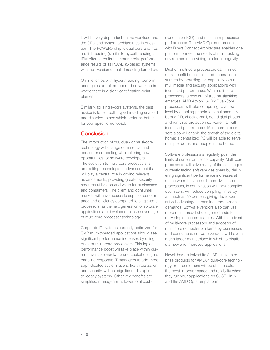It will be very dependent on the workload and the CPU and system architectures in question. The POWER5 chip is dual-core and has multi-threading (similar to hyperthreading). IBM often submits the commercial performance results of its POWER5-based systems with their version of multi-threading turned on.

On Intel chips with hyperthreading, performance gains are often reported on workloads where there is a significant floating-point element.

Similarly, for single-core systems, the best advice is to test both hyperthreading enabled and disabled to see which performs better for your specific workload.

# **Conclusion**

The introduction of x86 dual- or multi-core technology will change commercial and consumer computing while offering new opportunities for software developers. The evolution to multi-core processors is an exciting technological advancement that will play a central role in driving relevant advancements, providing greater security, resource utilization and value for businesses and consumers. The client and consumer markets will have access to superior performance and efficiency compared to single-core processors, as the next generation of software applications are developed to take advantage of multi-core processor technology.

Corporate IT systems currently optimized for SMP multi-threaded applications should see significant performance increases by using dual- or multi-core processors. This logical performance boost will take place within current, available hardware and socket designs, enabling corporate IT managers to add more sophisticated system layers, like virtualization and security, without significant disruption to legacy systems. Other key benefits are simplified manageability, lower total cost of

ownership (TCO), and maximum processor performance. The AMD Opteron processor with Direct Connect Architecture enables one platform to meet the needs of multi-tasking environments, providing platform longevity.

Dual or multi-core processors can immediately benefit businesses and general consumers by providing the capability to run multimedia and security applications with increased performance. With multi-core processors, a new era of true multitasking emerges. AMD Athlon™ 64 X2 Dual-Core processors will take computing to a new level by enabling people to simultaneously burn a CD, check e-mail, edit digital photos and run virus protection software—all with increased performance. Multi-core processors also will enable the growth of the digital home: a centralized PC will be able to serve multiple rooms and people in the home.

Software professionals regularly push the limits of current processor capacity. Multi-core processors will solve many of the challenges currently facing software designers by delivering significant performance increases at a time when they need it most. Multi-core processors, in combination with new compiler optimizers, will reduce compiling times by as much as 50 percent, giving developers a critical advantage in meeting time-to-market demands. Software vendors also can use more multi-threaded design methods for delivering enhanced features. With the advent of multi-core processors and adoption of multi-core computer platforms by businesses and consumers, software vendors will have a much larger marketplace in which to distribute new and improved applications.

Novell has optimized its SUSE Linux enterprise products for AMD64 dual-core technology. Your customers will be able to extract the most in performance and reliability when they run your applications on SUSE Linux and the AMD Opteron platform.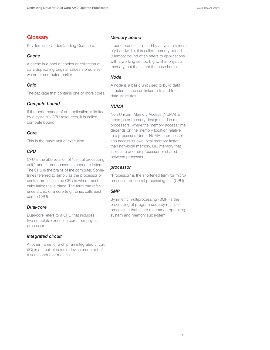# **Glossary**

Key Terms To Understanding Dual-core:

# *Cache*

A cache is a pool of entries or collection of data duplicating original values stored elsewhere or computed earlier.

# *Chip*

The package that contains one or more cores.

#### *Compute bound*

If the performance of an application is limited by a system's CPU resources, it is called compute bound.

#### *Core*

This is the basic unit of execution.

# *CPU*

CPU is the abbreviation of "central processing unit," and is pronounced as separate letters. The CPU is the brains of the computer. Sometimes referred to simply as the processor or central processor, the CPU is where most calculations take place. The term can reference a chip or a core (e.g., Linux calls each core a CPU).

# *Dual-core*

Dual-core refers to a CPU that includes two complete execution cores per physical processor.

# *Integrated circuit*

Another name for a chip, an integrated circuit (IC) is a small electronic device made out of a semiconductor material.

# *Memory bound*

If performance is limited by a system's memory bandwidth, it is called memory bound. (Memory bound often refers to applications with a working set too big to fit in physical memory, but that is not the case here.)

# *Node*

A node is a basic unit used to build data structures, such as linked lists and tree data structures.

# *NUMA*

Non-Uniform Memory Access (NUMA) is a computer memory design used in multiprocessors, where the memory access time depends on the memory location relative to a processor. Under NUMA, a processor can access its own local memory faster than non-local memory, i.e., memory that is local to another processor or shared between processors.

#### *processor*

"Processor" is the shortened term for microprocessor or central processing unit (CPU).

# *SMP*

Symmetric multiprocessing (SMP) is the processing of program code by multiple processors that share a common operating system and memory subsystem.